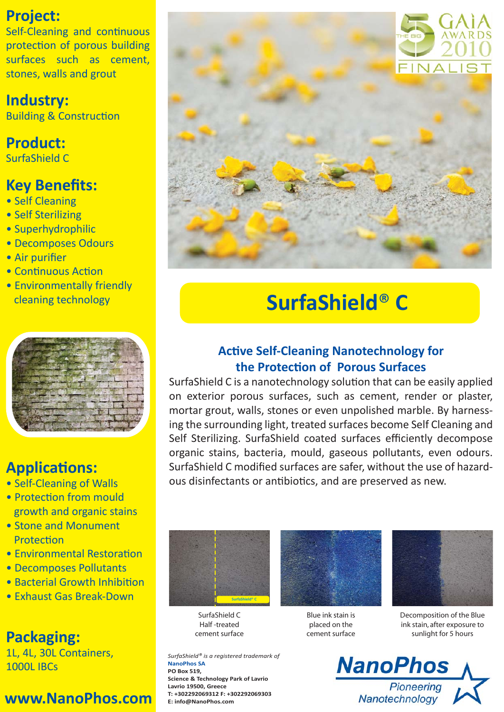### **Project:**

Self-Cleaning and continuous protection of porous building surfaces such as cement, stones, walls and grout

### **Industry:**

**Building & Construction** 

### **Product:**

SurfaShield C

### **Key Benefits:**

- Self Cleaning
- Self Sterilizing
- Superhydrophilic
- Decomposes Odours
- Air purifier
- Continuous Action
- Environmentally friendly cleaning technology



### **ApplicaƟons:**

- Self-Cleaning of Walls
- Protection from mould growth and organic stains
- Stone and Monument **Protection**
- Environmental Restoration
- Decomposes Pollutants
- Bacterial Growth Inhibition
- Exhaust Gas Break-Down

# **Packaging:**

1L, 4L, 30L Containers, 1000L IBCs

# **www.NanoPhos.com**



# **SurfaShield**® **C**

### **AcƟve Self-Cleaning Nanotechnology for the ProtecƟon of Porous Surfaces**

SurfaShield C is a nanotechnology solution that can be easily applied on exterior porous surfaces, such as cement, render or plaster, mortar grout, walls, stones or even unpolished marble. By harnessing the surrounding light, treated surfaces become Self Cleaning and Self Sterilizing. SurfaShield coated surfaces efficiently decompose organic stains, bacteria, mould, gaseous pollutants, even odours. SurfaShield C modified surfaces are safer, without the use of hazardous disinfectants or antibiotics, and are preserved as new.



SurfaShield C Half -treated cement surface

*SurfaShield® is a registered trademark of*  **NanoPhos SA PO Box 519, Science & Technology Park of Lavrio Lavrio 19500, Greece T: +302292069312 F: +302292069303 E: info@NanoPhos.com**



Blue ink stain is placed on the cement surface



Decomposition of the Blue ink stain, after exposure to sunlight for 5 hours